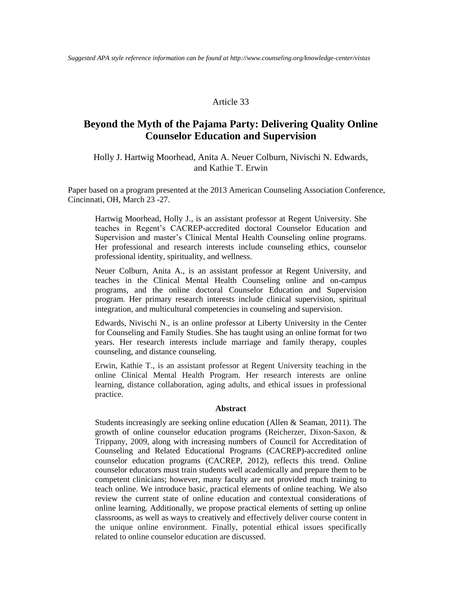### Article 33

# **Beyond the Myth of the Pajama Party: Delivering Quality Online Counselor Education and Supervision**

# Holly J. Hartwig Moorhead, Anita A. Neuer Colburn, Nivischi N. Edwards, and Kathie T. Erwin

Paper based on a program presented at the 2013 American Counseling Association Conference, Cincinnati, OH, March 23 -27.

Hartwig Moorhead, Holly J., is an assistant professor at Regent University. She teaches in Regent's CACREP-accredited doctoral Counselor Education and Supervision and master's Clinical Mental Health Counseling online programs. Her professional and research interests include counseling ethics, counselor professional identity, spirituality, and wellness.

Neuer Colburn, Anita A., is an assistant professor at Regent University, and teaches in the Clinical Mental Health Counseling online and on-campus programs, and the online doctoral Counselor Education and Supervision program. Her primary research interests include clinical supervision, spiritual integration, and multicultural competencies in counseling and supervision.

Edwards, Nivischi N., is an online professor at Liberty University in the Center for Counseling and Family Studies. She has taught using an online format for two years. Her research interests include marriage and family therapy, couples counseling, and distance counseling.

Erwin, Kathie T., is an assistant professor at Regent University teaching in the online Clinical Mental Health Program. Her research interests are online learning, distance collaboration, aging adults, and ethical issues in professional practice.

#### **Abstract**

Students increasingly are seeking online education (Allen & Seaman, 2011). The growth of online counselor education programs (Reicherzer, Dixon-Saxon, & Trippany, 2009, along with increasing numbers of Council for Accreditation of Counseling and Related Educational Programs (CACREP)-accredited online counselor education programs (CACREP, 2012), reflects this trend. Online counselor educators must train students well academically and prepare them to be competent clinicians; however, many faculty are not provided much training to teach online. We introduce basic, practical elements of online teaching. We also review the current state of online education and contextual considerations of online learning. Additionally, we propose practical elements of setting up online classrooms, as well as ways to creatively and effectively deliver course content in the unique online environment. Finally, potential ethical issues specifically related to online counselor education are discussed.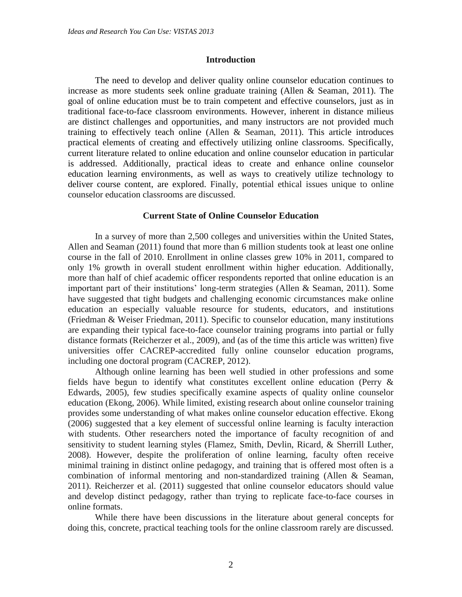#### **Introduction**

The need to develop and deliver quality online counselor education continues to increase as more students seek online graduate training (Allen & Seaman, 2011). The goal of online education must be to train competent and effective counselors, just as in traditional face-to-face classroom environments. However, inherent in distance milieus are distinct challenges and opportunities, and many instructors are not provided much training to effectively teach online (Allen & Seaman, 2011). This article introduces practical elements of creating and effectively utilizing online classrooms. Specifically, current literature related to online education and online counselor education in particular is addressed. Additionally, practical ideas to create and enhance online counselor education learning environments, as well as ways to creatively utilize technology to deliver course content, are explored. Finally, potential ethical issues unique to online counselor education classrooms are discussed.

### **Current State of Online Counselor Education**

In a survey of more than 2,500 colleges and universities within the United States, Allen and Seaman (2011) found that more than 6 million students took at least one online course in the fall of 2010. Enrollment in online classes grew 10% in 2011, compared to only 1% growth in overall student enrollment within higher education. Additionally, more than half of chief academic officer respondents reported that online education is an important part of their institutions' long-term strategies (Allen & Seaman, 2011). Some have suggested that tight budgets and challenging economic circumstances make online education an especially valuable resource for students, educators, and institutions (Friedman & Weiser Friedman, 2011). Specific to counselor education, many institutions are expanding their typical face-to-face counselor training programs into partial or fully distance formats (Reicherzer et al., 2009), and (as of the time this article was written) five universities offer CACREP-accredited fully online counselor education programs, including one doctoral program (CACREP, 2012).

Although online learning has been well studied in other professions and some fields have begun to identify what constitutes excellent online education (Perry & Edwards, 2005), few studies specifically examine aspects of quality online counselor education (Ekong, 2006). While limited, existing research about online counselor training provides some understanding of what makes online counselor education effective. Ekong (2006) suggested that a key element of successful online learning is faculty interaction with students. Other researchers noted the importance of faculty recognition of and sensitivity to student learning styles (Flamez, Smith, Devlin, Ricard, & Sherrill Luther, 2008). However, despite the proliferation of online learning, faculty often receive minimal training in distinct online pedagogy, and training that is offered most often is a combination of informal mentoring and non-standardized training (Allen & Seaman, 2011). Reicherzer et al. (2011) suggested that online counselor educators should value and develop distinct pedagogy, rather than trying to replicate face-to-face courses in online formats.

While there have been discussions in the literature about general concepts for doing this, concrete, practical teaching tools for the online classroom rarely are discussed.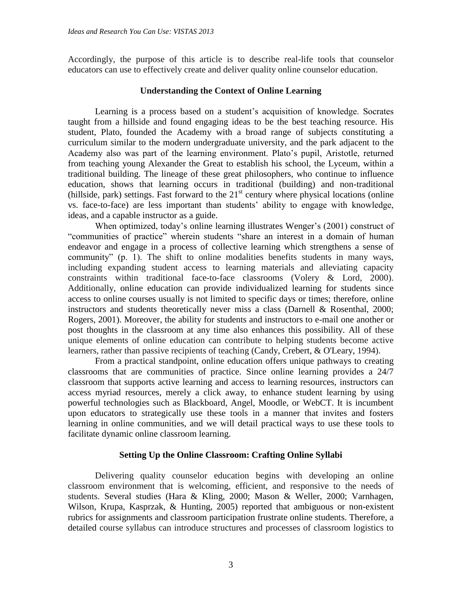Accordingly, the purpose of this article is to describe real-life tools that counselor educators can use to effectively create and deliver quality online counselor education.

# **Understanding the Context of Online Learning**

Learning is a process based on a student's acquisition of knowledge. Socrates taught from a hillside and found engaging ideas to be the best teaching resource. His student, Plato, founded the Academy with a broad range of subjects constituting a curriculum similar to the modern undergraduate university, and the park adjacent to the Academy also was part of the learning environment. Plato's pupil, Aristotle, returned from teaching young Alexander the Great to establish his school, the Lyceum, within a traditional building. The lineage of these great philosophers, who continue to influence education, shows that learning occurs in traditional (building) and non-traditional (hillside, park) settings. Fast forward to the  $21<sup>st</sup>$  century where physical locations (online vs. face-to-face) are less important than students' ability to engage with knowledge, ideas, and a capable instructor as a guide.

When optimized, today's online learning illustrates Wenger's (2001) construct of "communities of practice" wherein students "share an interest in a domain of human endeavor and engage in a process of collective learning which strengthens a sense of community" (p. 1). The shift to online modalities benefits students in many ways, including expanding student access to learning materials and alleviating capacity constraints within traditional face-to-face classrooms (Volery & Lord, 2000). Additionally, online education can provide individualized learning for students since access to online courses usually is not limited to specific days or times; therefore, online instructors and students theoretically never miss a class (Darnell & Rosenthal, 2000; Rogers, 2001). Moreover, the ability for students and instructors to e-mail one another or post thoughts in the classroom at any time also enhances this possibility. All of these unique elements of online education can contribute to helping students become active learners, rather than passive recipients of teaching (Candy, Crebert, & O'Leary, 1994).

From a practical standpoint, online education offers unique pathways to creating classrooms that are communities of practice. Since online learning provides a 24/7 classroom that supports active learning and access to learning resources, instructors can access myriad resources, merely a click away, to enhance student learning by using powerful technologies such as Blackboard, Angel, Moodle, or WebCT. It is incumbent upon educators to strategically use these tools in a manner that invites and fosters learning in online communities, and we will detail practical ways to use these tools to facilitate dynamic online classroom learning.

# **Setting Up the Online Classroom: Crafting Online Syllabi**

Delivering quality counselor education begins with developing an online classroom environment that is welcoming, efficient, and responsive to the needs of students. Several studies (Hara & Kling, 2000; Mason & Weller, 2000; Varnhagen, Wilson, Krupa, Kasprzak, & Hunting, 2005) reported that ambiguous or non-existent rubrics for assignments and classroom participation frustrate online students. Therefore, a detailed course syllabus can introduce structures and processes of classroom logistics to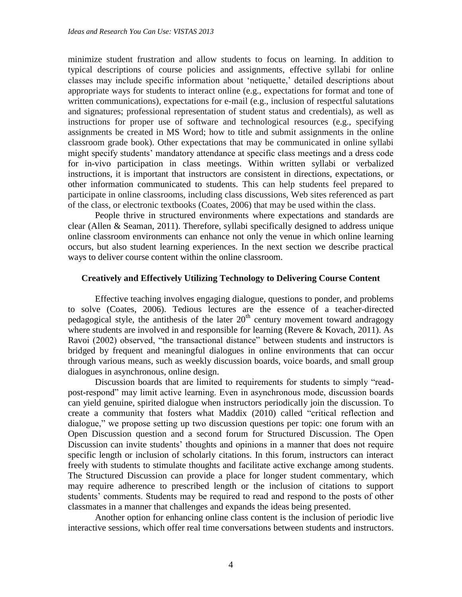minimize student frustration and allow students to focus on learning. In addition to typical descriptions of course policies and assignments, effective syllabi for online classes may include specific information about 'netiquette,' detailed descriptions about appropriate ways for students to interact online (e.g., expectations for format and tone of written communications), expectations for e-mail (e.g., inclusion of respectful salutations and signatures; professional representation of student status and credentials), as well as instructions for proper use of software and technological resources (e.g., specifying assignments be created in MS Word; how to title and submit assignments in the online classroom grade book). Other expectations that may be communicated in online syllabi might specify students' mandatory attendance at specific class meetings and a dress code for in-vivo participation in class meetings. Within written syllabi or verbalized instructions, it is important that instructors are consistent in directions, expectations, or other information communicated to students. This can help students feel prepared to participate in online classrooms, including class discussions, Web sites referenced as part of the class, or electronic textbooks (Coates, 2006) that may be used within the class.

People thrive in structured environments where expectations and standards are clear (Allen & Seaman, 2011). Therefore, syllabi specifically designed to address unique online classroom environments can enhance not only the venue in which online learning occurs, but also student learning experiences. In the next section we describe practical ways to deliver course content within the online classroom.

# **Creatively and Effectively Utilizing Technology to Delivering Course Content**

Effective teaching involves engaging dialogue, questions to ponder, and problems to solve (Coates, 2006). Tedious lectures are the essence of a teacher-directed pedagogical style, the antithesis of the later  $20<sup>th</sup>$  century movement toward andragogy where students are involved in and responsible for learning (Revere  $& Kovach, 2011$ ). As Ravoi (2002) observed, "the transactional distance" between students and instructors is bridged by frequent and meaningful dialogues in online environments that can occur through various means, such as weekly discussion boards, voice boards, and small group dialogues in asynchronous, online design.

Discussion boards that are limited to requirements for students to simply "readpost-respond" may limit active learning. Even in asynchronous mode, discussion boards can yield genuine, spirited dialogue when instructors periodically join the discussion. To create a community that fosters what Maddix (2010) called "critical reflection and dialogue," we propose setting up two discussion questions per topic: one forum with an Open Discussion question and a second forum for Structured Discussion. The Open Discussion can invite students' thoughts and opinions in a manner that does not require specific length or inclusion of scholarly citations. In this forum, instructors can interact freely with students to stimulate thoughts and facilitate active exchange among students. The Structured Discussion can provide a place for longer student commentary, which may require adherence to prescribed length or the inclusion of citations to support students' comments. Students may be required to read and respond to the posts of other classmates in a manner that challenges and expands the ideas being presented.

Another option for enhancing online class content is the inclusion of periodic live interactive sessions, which offer real time conversations between students and instructors.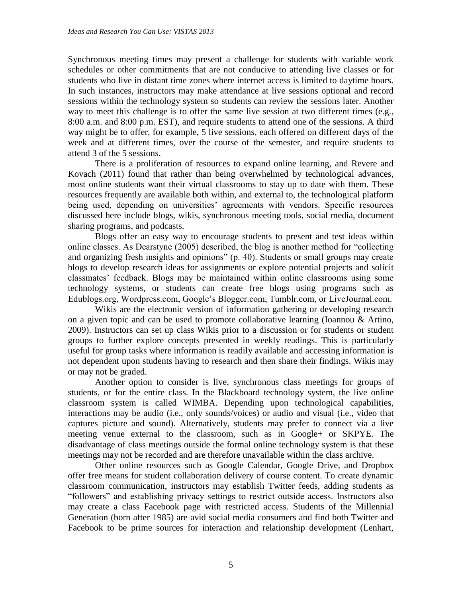Synchronous meeting times may present a challenge for students with variable work schedules or other commitments that are not conducive to attending live classes or for students who live in distant time zones where internet access is limited to daytime hours. In such instances, instructors may make attendance at live sessions optional and record sessions within the technology system so students can review the sessions later. Another way to meet this challenge is to offer the same live session at two different times (e.g., 8:00 a.m. and 8:00 p.m. EST), and require students to attend one of the sessions. A third way might be to offer, for example, 5 live sessions, each offered on different days of the week and at different times, over the course of the semester, and require students to attend 3 of the 5 sessions.

There is a proliferation of resources to expand online learning, and Revere and Kovach (2011) found that rather than being overwhelmed by technological advances, most online students want their virtual classrooms to stay up to date with them. These resources frequently are available both within, and external to, the technological platform being used, depending on universities' agreements with vendors. Specific resources discussed here include blogs, wikis, synchronous meeting tools, social media, document sharing programs, and podcasts.

Blogs offer an easy way to encourage students to present and test ideas within online classes. As Dearstyne (2005) described, the blog is another method for "collecting and organizing fresh insights and opinions" (p. 40). Students or small groups may create blogs to develop research ideas for assignments or explore potential projects and solicit classmates' feedback. Blogs may be maintained within online classrooms using some technology systems, or students can create free blogs using programs such as Edublogs.org, Wordpress.com, Google's Blogger.com, Tumblr.com, or LiveJournal.com.

Wikis are the electronic version of information gathering or developing research on a given topic and can be used to promote collaborative learning (Ioannou & Artino, 2009). Instructors can set up class Wikis prior to a discussion or for students or student groups to further explore concepts presented in weekly readings. This is particularly useful for group tasks where information is readily available and accessing information is not dependent upon students having to research and then share their findings. Wikis may or may not be graded.

Another option to consider is live, synchronous class meetings for groups of students, or for the entire class. In the Blackboard technology system, the live online classroom system is called WIMBA. Depending upon technological capabilities, interactions may be audio (i.e., only sounds/voices) or audio and visual (i.e., video that captures picture and sound). Alternatively, students may prefer to connect via a live meeting venue external to the classroom, such as in Google+ or SKPYE. The disadvantage of class meetings outside the formal online technology system is that these meetings may not be recorded and are therefore unavailable within the class archive.

Other online resources such as Google Calendar, Google Drive, and Dropbox offer free means for student collaboration delivery of course content. To create dynamic classroom communication, instructors may establish Twitter feeds, adding students as "followers" and establishing privacy settings to restrict outside access. Instructors also may create a class Facebook page with restricted access. Students of the Millennial Generation (born after 1985) are avid social media consumers and find both Twitter and Facebook to be prime sources for interaction and relationship development (Lenhart,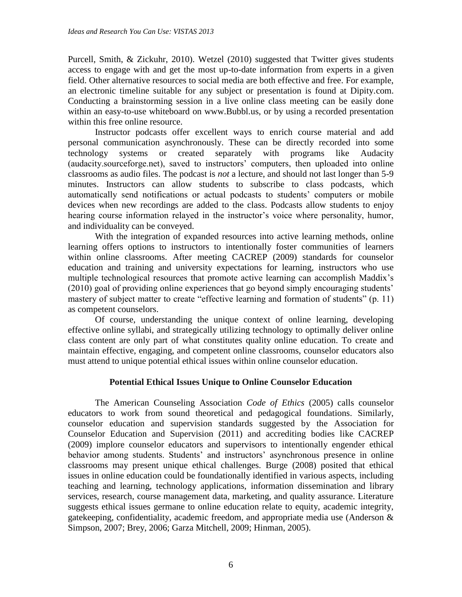Purcell, Smith, & Zickuhr, 2010). Wetzel (2010) suggested that Twitter gives students access to engage with and get the most up-to-date information from experts in a given field. Other alternative resources to social media are both effective and free. For example, an electronic timeline suitable for any subject or presentation is found at Dipity.com. Conducting a brainstorming session in a live online class meeting can be easily done within an easy-to-use whiteboard on www.Bubbl.us, or by using a recorded presentation within this free online resource.

Instructor podcasts offer excellent ways to enrich course material and add personal communication asynchronously. These can be directly recorded into some technology systems or created separately with programs like Audacity (audacity.sourceforge.net), saved to instructors' computers, then uploaded into online classrooms as audio files. The podcast is *not* a lecture, and should not last longer than 5-9 minutes. Instructors can allow students to subscribe to class podcasts, which automatically send notifications or actual podcasts to students' computers or mobile devices when new recordings are added to the class. Podcasts allow students to enjoy hearing course information relayed in the instructor's voice where personality, humor, and individuality can be conveyed.

With the integration of expanded resources into active learning methods, online learning offers options to instructors to intentionally foster communities of learners within online classrooms. After meeting CACREP (2009) standards for counselor education and training and university expectations for learning, instructors who use multiple technological resources that promote active learning can accomplish Maddix's (2010) goal of providing online experiences that go beyond simply encouraging students' mastery of subject matter to create "effective learning and formation of students" (p. 11) as competent counselors.

Of course, understanding the unique context of online learning, developing effective online syllabi, and strategically utilizing technology to optimally deliver online class content are only part of what constitutes quality online education. To create and maintain effective, engaging, and competent online classrooms, counselor educators also must attend to unique potential ethical issues within online counselor education.

# **Potential Ethical Issues Unique to Online Counselor Education**

The American Counseling Association *Code of Ethics* (2005) calls counselor educators to work from sound theoretical and pedagogical foundations. Similarly, counselor education and supervision standards suggested by the Association for Counselor Education and Supervision (2011) and accrediting bodies like CACREP (2009) implore counselor educators and supervisors to intentionally engender ethical behavior among students. Students' and instructors' asynchronous presence in online classrooms may present unique ethical challenges. Burge (2008) posited that ethical issues in online education could be foundationally identified in various aspects, including teaching and learning, technology applications, information dissemination and library services, research, course management data, marketing, and quality assurance. Literature suggests ethical issues germane to online education relate to equity, academic integrity, gatekeeping, confidentiality, academic freedom, and appropriate media use (Anderson & Simpson, 2007; Brey, 2006; Garza Mitchell, 2009; Hinman, 2005).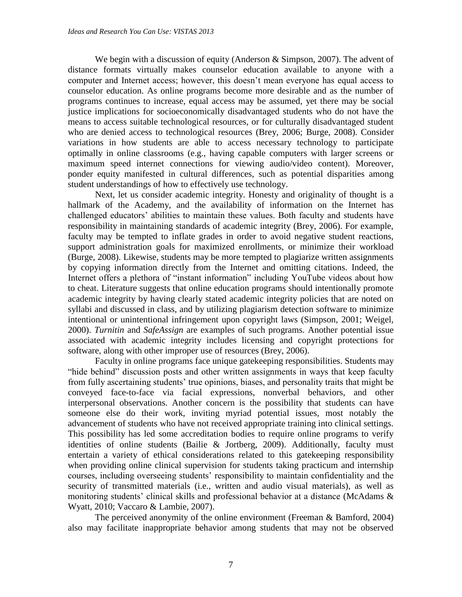We begin with a discussion of equity (Anderson  $&$  Simpson, 2007). The advent of distance formats virtually makes counselor education available to anyone with a computer and Internet access; however, this doesn't mean everyone has equal access to counselor education. As online programs become more desirable and as the number of programs continues to increase, equal access may be assumed, yet there may be social justice implications for socioeconomically disadvantaged students who do not have the means to access suitable technological resources, or for culturally disadvantaged student who are denied access to technological resources (Brey, 2006; Burge, 2008). Consider variations in how students are able to access necessary technology to participate optimally in online classrooms (e.g., having capable computers with larger screens or maximum speed internet connections for viewing audio/video content). Moreover, ponder equity manifested in cultural differences, such as potential disparities among student understandings of how to effectively use technology.

Next, let us consider academic integrity. Honesty and originality of thought is a hallmark of the Academy, and the availability of information on the Internet has challenged educators' abilities to maintain these values. Both faculty and students have responsibility in maintaining standards of academic integrity (Brey, 2006). For example, faculty may be tempted to inflate grades in order to avoid negative student reactions, support administration goals for maximized enrollments, or minimize their workload (Burge, 2008). Likewise, students may be more tempted to plagiarize written assignments by copying information directly from the Internet and omitting citations. Indeed, the Internet offers a plethora of "instant information" including YouTube videos about how to cheat. Literature suggests that online education programs should intentionally promote academic integrity by having clearly stated academic integrity policies that are noted on syllabi and discussed in class, and by utilizing plagiarism detection software to minimize intentional or unintentional infringement upon copyright laws (Simpson, 2001; Weigel, 2000). *Turnitin* and *SafeAssign* are examples of such programs. Another potential issue associated with academic integrity includes licensing and copyright protections for software, along with other improper use of resources (Brey, 2006).

Faculty in online programs face unique gatekeeping responsibilities. Students may "hide behind" discussion posts and other written assignments in ways that keep faculty from fully ascertaining students' true opinions, biases, and personality traits that might be conveyed face-to-face via facial expressions, nonverbal behaviors, and other interpersonal observations. Another concern is the possibility that students can have someone else do their work, inviting myriad potential issues, most notably the advancement of students who have not received appropriate training into clinical settings. This possibility has led some accreditation bodies to require online programs to verify identities of online students (Bailie & Jortberg, 2009). Additionally, faculty must entertain a variety of ethical considerations related to this gatekeeping responsibility when providing online clinical supervision for students taking practicum and internship courses, including overseeing students' responsibility to maintain confidentiality and the security of transmitted materials (i.e., written and audio visual materials), as well as monitoring students' clinical skills and professional behavior at a distance (McAdams & Wyatt, 2010; Vaccaro & Lambie, 2007).

The perceived anonymity of the online environment (Freeman & Bamford, 2004) also may facilitate inappropriate behavior among students that may not be observed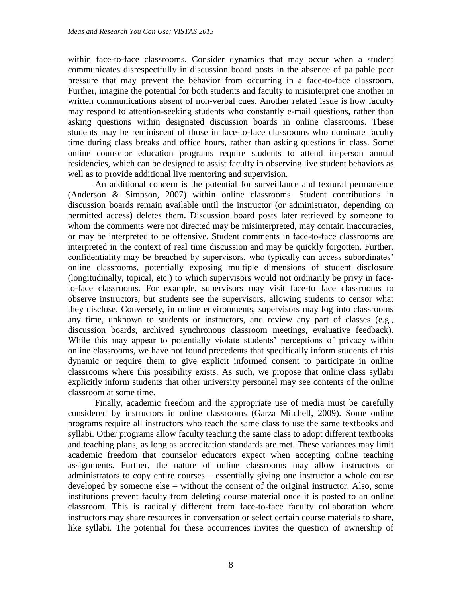within face-to-face classrooms. Consider dynamics that may occur when a student communicates disrespectfully in discussion board posts in the absence of palpable peer pressure that may prevent the behavior from occurring in a face-to-face classroom. Further, imagine the potential for both students and faculty to misinterpret one another in written communications absent of non-verbal cues. Another related issue is how faculty may respond to attention-seeking students who constantly e-mail questions, rather than asking questions within designated discussion boards in online classrooms. These students may be reminiscent of those in face-to-face classrooms who dominate faculty time during class breaks and office hours, rather than asking questions in class. Some online counselor education programs require students to attend in-person annual residencies, which can be designed to assist faculty in observing live student behaviors as well as to provide additional live mentoring and supervision.

An additional concern is the potential for surveillance and textural permanence (Anderson & Simpson, 2007) within online classrooms. Student contributions in discussion boards remain available until the instructor (or administrator, depending on permitted access) deletes them. Discussion board posts later retrieved by someone to whom the comments were not directed may be misinterpreted, may contain inaccuracies, or may be interpreted to be offensive. Student comments in face-to-face classrooms are interpreted in the context of real time discussion and may be quickly forgotten. Further, confidentiality may be breached by supervisors, who typically can access subordinates' online classrooms, potentially exposing multiple dimensions of student disclosure (longitudinally, topical, etc.) to which supervisors would not ordinarily be privy in faceto-face classrooms. For example, supervisors may visit face-to face classrooms to observe instructors, but students see the supervisors, allowing students to censor what they disclose. Conversely, in online environments, supervisors may log into classrooms any time, unknown to students or instructors, and review any part of classes (e.g., discussion boards, archived synchronous classroom meetings, evaluative feedback). While this may appear to potentially violate students' perceptions of privacy within online classrooms, we have not found precedents that specifically inform students of this dynamic or require them to give explicit informed consent to participate in online classrooms where this possibility exists. As such, we propose that online class syllabi explicitly inform students that other university personnel may see contents of the online classroom at some time.

Finally, academic freedom and the appropriate use of media must be carefully considered by instructors in online classrooms (Garza Mitchell, 2009). Some online programs require all instructors who teach the same class to use the same textbooks and syllabi. Other programs allow faculty teaching the same class to adopt different textbooks and teaching plans, as long as accreditation standards are met. These variances may limit academic freedom that counselor educators expect when accepting online teaching assignments. Further, the nature of online classrooms may allow instructors or administrators to copy entire courses – essentially giving one instructor a whole course developed by someone else – without the consent of the original instructor. Also, some institutions prevent faculty from deleting course material once it is posted to an online classroom. This is radically different from face-to-face faculty collaboration where instructors may share resources in conversation or select certain course materials to share, like syllabi. The potential for these occurrences invites the question of ownership of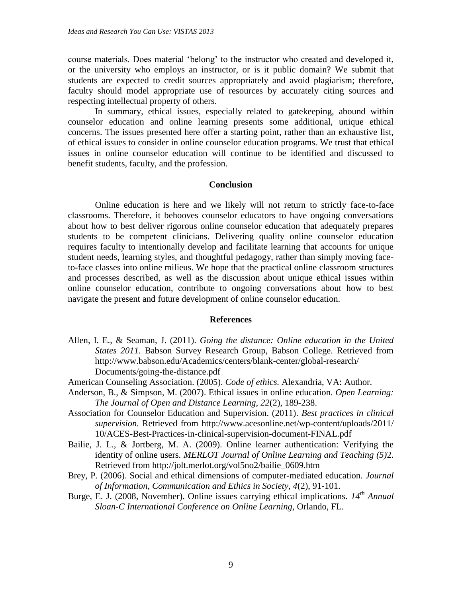course materials. Does material 'belong' to the instructor who created and developed it, or the university who employs an instructor, or is it public domain? We submit that students are expected to credit sources appropriately and avoid plagiarism; therefore, faculty should model appropriate use of resources by accurately citing sources and respecting intellectual property of others.

In summary, ethical issues, especially related to gatekeeping, abound within counselor education and online learning presents some additional, unique ethical concerns. The issues presented here offer a starting point, rather than an exhaustive list, of ethical issues to consider in online counselor education programs. We trust that ethical issues in online counselor education will continue to be identified and discussed to benefit students, faculty, and the profession.

#### **Conclusion**

Online education is here and we likely will not return to strictly face-to-face classrooms. Therefore, it behooves counselor educators to have ongoing conversations about how to best deliver rigorous online counselor education that adequately prepares students to be competent clinicians. Delivering quality online counselor education requires faculty to intentionally develop and facilitate learning that accounts for unique student needs, learning styles, and thoughtful pedagogy, rather than simply moving faceto-face classes into online milieus. We hope that the practical online classroom structures and processes described, as well as the discussion about unique ethical issues within online counselor education, contribute to ongoing conversations about how to best navigate the present and future development of online counselor education.

#### **References**

- Allen, I. E., & Seaman, J. (2011). *Going the distance: Online education in the United States 2011*. Babson Survey Research Group, Babson College. Retrieved from http://www.babson.edu/Academics/centers/blank-center/global-research/ Documents/going-the-distance.pdf
- American Counseling Association. (2005). *Code of ethics.* Alexandria, VA: Author.
- Anderson, B., & Simpson, M. (2007). Ethical issues in online education. *Open Learning: The Journal of Open and Distance Learning, 22*(2), 189-238.
- Association for Counselor Education and Supervision. (2011). *Best practices in clinical supervision.* Retrieved from http://www.acesonline.net/wp-content/uploads/2011/ 10/ACES-Best-Practices-in-clinical-supervision-document-FINAL.pdf
- Bailie, J. L., & Jortberg, M. A. (2009). Online learner authentication: Verifying the identity of online users. *MERLOT Journal of Online Learning and Teaching (5)*2. Retrieved from http://jolt.merlot.org/vol5no2/bailie\_0609.htm
- Brey, P. (2006). Social and ethical dimensions of computer-mediated education. *Journal of Information, Communication and Ethics in Society, 4*(2), 91-101.
- Burge, E. J. (2008, November). Online issues carrying ethical implications. *14th Annual Sloan-C International Conference on Online Learning,* Orlando, FL.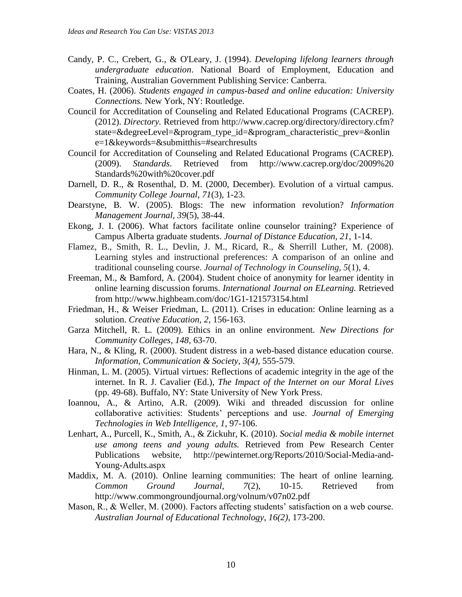- Candy, P. C., Crebert, G., & O'Leary, J. (1994). *Developing lifelong learners through undergraduate education*. National Board of Employment, Education and Training, Australian Government Publishing Service: Canberra.
- Coates, H. (2006). *Students engaged in campus-based and online education: University Connections.* New York, NY: Routledge.
- Council for Accreditation of Counseling and Related Educational Programs (CACREP). (2012). *Directory.* Retrieved from http://www.cacrep.org/directory/directory.cfm? state=&degreeLevel=&program\_type\_id=&program\_characteristic\_prev=&onlin e=1&keywords=&submitthis=#searchresults
- Council for Accreditation of Counseling and Related Educational Programs (CACREP). (2009). *Standards*. Retrieved from http://www.cacrep.org/doc/2009%20 Standards%20with%20cover.pdf
- Darnell, D. R., & Rosenthal, D. M. (2000, December). Evolution of a virtual campus. *Community College Journal, 71*(3), 1-23.
- Dearstyne, B. W. (2005). Blogs: The new information revolution? *Information Management Journal, 39*(5), 38-44.
- Ekong, J. I. (2006). What factors facilitate online counselor training? Experience of Campus Alberta graduate students. *Journal of Distance Education, 21*, 1-14.
- Flamez, B., Smith, R. L., Devlin, J. M., Ricard, R., & Sherrill Luther, M. (2008). Learning styles and instructional preferences: A comparison of an online and traditional counseling course. *Journal of Technology in Counseling, 5*(1), 4.
- Freeman, M., & Bamford, A. (2004). Student choice of anonymity for learner identity in online learning discussion forums. *International Journal on ELearning.* Retrieved from http://www.highbeam.com/doc/1G1-121573154.html
- Friedman, H., & Weiser Friedman, L. (2011). Crises in education: Online learning as a solution. *Creative Education, 2*, 156-163.
- Garza Mitchell, R. L. (2009). Ethics in an online environment. *New Directions for Community Colleges, 148,* 63-70.
- Hara, N., & Kling, R. (2000). Student distress in a web-based distance education course. *Information, Communication & Society, 3(4),* 555-579.
- Hinman, L. M. (2005). Virtual virtues: Reflections of academic integrity in the age of the internet. In R. J. Cavalier (Ed.), *The Impact of the Internet on our Moral Lives*  (pp. 49-68). Buffalo, NY: State University of New York Press.
- Ioannou, A., & Artino, A.R. (2009). Wiki and threaded discussion for online collaborative activities: Students' perceptions and use. *Journal of Emerging Technologies in Web Intelligence, 1*, 97-106.
- Lenhart, A., Purcell, K., Smith, A., & Zickuhr, K. (2010). *Social media & mobile internet use among teens and young adults.* Retrieved from Pew Research Center Publications website, http://pewinternet.org/Reports/2010/Social-Media-and-Young-Adults.aspx
- Maddix, M. A. (2010). Online learning communities: The heart of online learning. *Common Ground Journal, 7*(2), 10-15. Retrieved from http://www.commongroundjournal.org/volnum/v07n02.pdf
- Mason, R., & Weller, M. (2000). Factors affecting students' satisfaction on a web course. *Australian Journal of Educational Technology, 16(2),* 173-200.